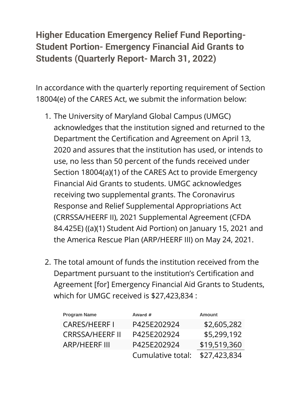## **Higher Education Emergency Relief Fund Reporting-Student Portion- Emergency Financial Aid Grants to Students (Quarterly Report- March 31, 2022)**

In accordance with the quarterly reporting requirement of Section 18004(e) of the CARES Act, we submit the information below:

- 1. The University of Maryland Global Campus (UMGC) acknowledges that the institution signed and returned to the Department the Certification and Agreement on April 13, 2020 and assures that the institution has used, or intends to use, no less than 50 percent of the funds received under Section 18004(a)(1) of the CARES Act to provide Emergency Financial Aid Grants to students. UMGC acknowledges receiving two supplemental grants. The Coronavirus Response and Relief Supplemental Appropriations Act (CRRSSA/HEERF II), 2021 Supplemental Agreement (CFDA 84.425E) ((a)(1) Student Aid Portion) on January 15, 2021 and the America Rescue Plan (ARP/HEERF III) on May 24, 2021.
- 2. The total amount of funds the institution received from the Department pursuant to the institution's Certification and Agreement [for] Emergency Financial Aid Grants to Students, which for UMGC received is \$27,423,834 :

| <b>Program Name</b>    | Award #           | <b>Amount</b> |
|------------------------|-------------------|---------------|
| <b>CARES/HEERFI</b>    | P425E202924       | \$2,605,282   |
| <b>CRRSSA/HEERF II</b> | P425E202924       | \$5,299,192   |
| <b>ARP/HEERF III</b>   | P425E202924       | \$19,519,360  |
|                        | Cumulative total: | \$27,423,834  |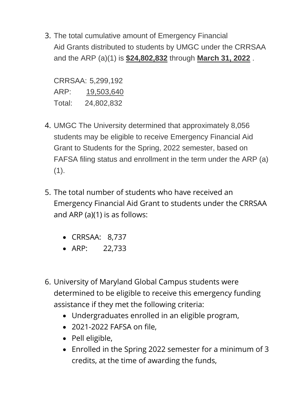3. The total cumulative amount of Emergency Financial Aid Grants distributed to students by UMGC under the CRRSAA and the ARP (a)(1) is **\$24,802,832** through **March 31, 2022** .

CRRSAA: 5,299,192 ARP: 19,503,640 Total: 24,802,832

- 4. UMGC The University determined that approximately 8,056 students may be eligible to receive Emergency Financial Aid Grant to Students for the Spring, 2022 semester, based on FAFSA filing status and enrollment in the term under the ARP (a)  $(1).$
- 5. The total number of students who have received an Emergency Financial Aid Grant to students under the CRRSAA and ARP (a)(1) is as follows:
	- CRRSAA: 8,737
	- ARP: 22,733
- 6. University of Maryland Global Campus students were determined to be eligible to receive this emergency funding assistance if they met the following criteria:
	- Undergraduates enrolled in an eligible program,
	- 2021-2022 FAFSA on file,
	- Pell eligible,
	- Enrolled in the Spring 2022 semester for a minimum of 3 credits, at the time of awarding the funds,